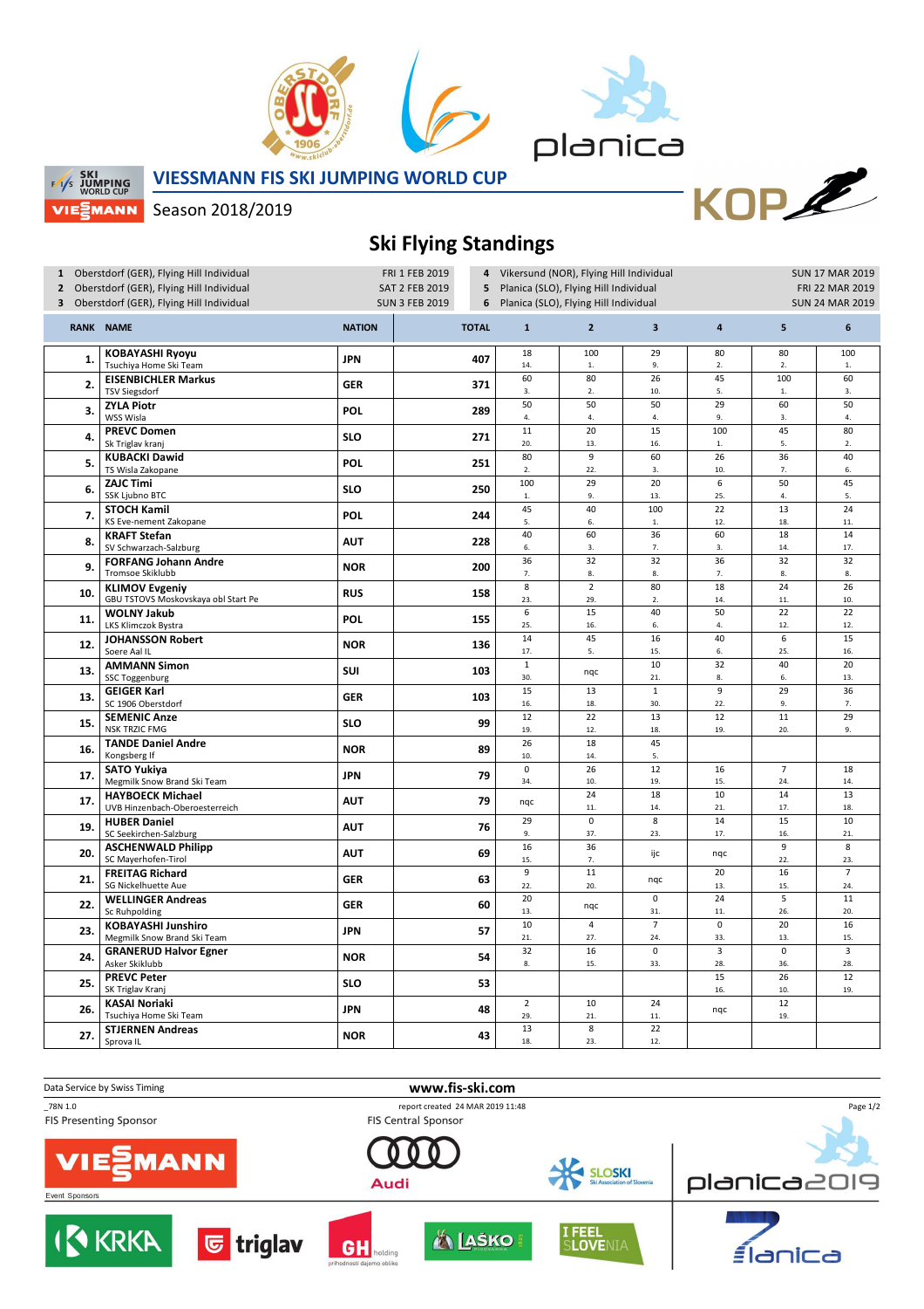



KOPE

**SKI SKI WORLD CUP** VIEᢓMANN **VIESSMANN FIS SKI JUMPING WORLD CUP**

Season 2018/2019

## **Ski Flying Standings**

| 1 Oberstdorf (GER), Flying Hill Individual<br>2 Oberstdorf (GER), Flying Hill Individual<br>3 Oberstdorf (GER), Flying Hill Individual |                                                              | FRI 1 FEB 2019<br>4<br>SAT 2 FEB 2019<br>5<br><b>SUN 3 FEB 2019</b><br>6 |              |                       | Vikersund (NOR), Flying Hill Individual<br>Planica (SLO), Flying Hill Individual<br>Planica (SLO), Flying Hill Individual |                         | <b>SUN 17 MAR 2019</b><br>FRI 22 MAR 2019<br><b>SUN 24 MAR 2019</b> |                       |                       |
|----------------------------------------------------------------------------------------------------------------------------------------|--------------------------------------------------------------|--------------------------------------------------------------------------|--------------|-----------------------|---------------------------------------------------------------------------------------------------------------------------|-------------------------|---------------------------------------------------------------------|-----------------------|-----------------------|
|                                                                                                                                        | <b>RANK NAME</b>                                             | <b>NATION</b>                                                            | <b>TOTAL</b> | $\mathbf{1}$          | $\overline{2}$                                                                                                            | $\overline{\mathbf{3}}$ | $\pmb{4}$                                                           | 5                     | 6                     |
| 1.                                                                                                                                     | <b>KOBAYASHI Ryoyu</b><br>Tsuchiya Home Ski Team             | <b>JPN</b>                                                               | 407          | 18<br>14.             | 100<br>${\bf 1}.$                                                                                                         | 29<br>9.                | 80<br>2.                                                            | 80<br>2.              | 100<br>$1.$           |
| 2.                                                                                                                                     | <b>EISENBICHLER Markus</b><br><b>TSV Siegsdorf</b>           | <b>GER</b>                                                               | 371          | 60<br>3.              | 80<br>2.                                                                                                                  | 26<br>10.               | 45<br>5.                                                            | 100<br>${\bf 1}.$     | 60<br>3.              |
| 3.                                                                                                                                     | <b>ZYLA Piotr</b><br>WSS Wisla                               | <b>POL</b>                                                               | 289          | 50<br>$\bf 4.$        | 50<br>4.                                                                                                                  | 50<br>4.                | 29<br>9.                                                            | 60<br>3.              | 50<br>4.              |
| 4.                                                                                                                                     | <b>PREVC Domen</b><br>Sk Triglav kranj                       | <b>SLO</b>                                                               | 271          | 11<br>20.             | 20<br>13.                                                                                                                 | 15<br>16.               | 100<br>${\bf 1}.$                                                   | 45<br>5.              | 80<br>2.              |
| 5.                                                                                                                                     | <b>KUBACKI Dawid</b><br>TS Wisla Zakopane                    | POL                                                                      | 251          | 80<br>2.              | $\overline{9}$<br>22.                                                                                                     | 60<br>3.                | $\overline{26}$<br>10.                                              | 36<br>7.              | 40<br>6.              |
| 6.                                                                                                                                     | <b>ZAJC Timi</b><br>SSK Ljubno BTC                           | <b>SLO</b>                                                               | 250          | 100<br>$1.$           | 29<br>9.                                                                                                                  | 20<br>13.               | $6\overline{6}$<br>25.                                              | 50<br>4.              | 45<br>5.              |
| 7.                                                                                                                                     | <b>STOCH Kamil</b><br>KS Eve-nement Zakopane                 | POL                                                                      | 244          | 45<br>5.              | 40<br>6.                                                                                                                  | 100<br>$\mathbf{1}$     | 22<br>12.                                                           | 13<br>18.             | 24<br>11.             |
| 8.                                                                                                                                     | <b>KRAFT Stefan</b><br>SV Schwarzach-Salzburg                | <b>AUT</b>                                                               | 228          | 40<br>6.              | 60<br>3.                                                                                                                  | 36<br>7.                | 60<br>3.                                                            | 18<br>14.             | 14<br>17.             |
| 9.                                                                                                                                     | <b>FORFANG Johann Andre</b><br>Tromsoe Skiklubb              | <b>NOR</b>                                                               | 200          | 36<br>7.              | 32<br>8.                                                                                                                  | 32<br>8.                | 36<br>7.                                                            | 32<br>8.              | 32<br>8.              |
| 10.                                                                                                                                    | <b>KLIMOV Evgeniy</b><br>GBU TSTOVS Moskovskaya obl Start Pe | <b>RUS</b>                                                               | 158          | 8<br>23.              | $\overline{2}$<br>29.                                                                                                     | 80<br>$\overline{2}$ .  | 18<br>14.                                                           | 24<br>11.             | 26<br>10.             |
| 11.                                                                                                                                    | <b>WOLNY Jakub</b><br>LKS Klimczok Bystra                    | POL                                                                      | 155          | $6\,$<br>25.          | 15<br>16.                                                                                                                 | 40<br>6.                | 50<br>4.                                                            | 22<br>12.             | 22<br>12.             |
| 12.                                                                                                                                    | <b>JOHANSSON Robert</b><br>Soere Aal IL                      | <b>NOR</b>                                                               | 136          | 14<br>17.             | 45<br>5.                                                                                                                  | 16<br>15.               | 40<br>6.                                                            | 6<br>25.              | 15<br>16.             |
| 13.                                                                                                                                    | <b>AMMANN Simon</b><br>SSC Toggenburg                        | SUI                                                                      | 103          | $\mathbf 1$<br>30.    | ngc                                                                                                                       | 10<br>21.               | 32<br>8.                                                            | 40<br>6.              | 20<br>13.             |
| 13.                                                                                                                                    | <b>GEIGER Karl</b><br>SC 1906 Oberstdorf                     | <b>GER</b>                                                               | 103          | 15<br>16.             | 13<br>18.                                                                                                                 | $\mathbf 1$<br>30.      | 9<br>22.                                                            | 29<br>9.              | 36<br>7.              |
| 15.                                                                                                                                    | <b>SEMENIC Anze</b><br><b>NSK TRZIC FMG</b>                  | <b>SLO</b>                                                               | 99           | 12<br>19.             | 22<br>12.                                                                                                                 | 13<br>18.               | 12<br>19.                                                           | 11<br>20.             | 29<br>9.              |
| 16.                                                                                                                                    | <b>TANDE Daniel Andre</b><br>Kongsberg If                    | <b>NOR</b>                                                               | 89           | 26<br>10.             | 18<br>14.                                                                                                                 | 45<br>5.                |                                                                     |                       |                       |
| 17.                                                                                                                                    | <b>SATO Yukiya</b><br>Megmilk Snow Brand Ski Team            | <b>JPN</b>                                                               | 79           | $\mathbf 0$<br>34.    | 26<br>10.                                                                                                                 | 12<br>19.               | 16<br>15.                                                           | $\overline{7}$<br>24. | 18<br>14.             |
| 17.                                                                                                                                    | <b>HAYBOECK Michael</b><br>UVB Hinzenbach-Oberoesterreich    | <b>AUT</b>                                                               | 79           | nqc                   | 24<br>11.                                                                                                                 | 18<br>14.               | 10<br>21.                                                           | 14<br>17.             | 13<br>18.             |
| 19                                                                                                                                     | <b>HUBER Daniel</b><br>SC Seekirchen-Salzburg                | <b>AUT</b>                                                               | 76           | 29<br>9.              | $\overline{0}$<br>37.                                                                                                     | $\overline{8}$<br>23.   | 14<br>17.                                                           | 15<br>16.             | 10<br>21.             |
| 20.                                                                                                                                    | <b>ASCHENWALD Philipp</b><br>SC Mayerhofen-Tirol             | <b>AUT</b>                                                               | 69           | 16<br>15.             | 36<br>7.                                                                                                                  | ijc                     | nqc                                                                 | 9<br>22.              | 8<br>23.              |
| 21.                                                                                                                                    | <b>FREITAG Richard</b><br>SG Nickelhuette Aue                | <b>GER</b>                                                               | 63           | $\overline{9}$<br>22. | 11<br>20.                                                                                                                 | nqc                     | 20<br>13.                                                           | 16<br>15.             | $\overline{7}$<br>24. |
| 22.                                                                                                                                    | <b>WELLINGER Andreas</b><br>Sc Ruhpolding                    | <b>GER</b>                                                               | 60           | 20<br>13.             | ngc                                                                                                                       | $\mathbf 0$<br>31.      | 24<br>11.                                                           | 5<br>26.              | 11<br>20.             |
| 23.                                                                                                                                    | <b>KOBAYASHI Junshiro</b><br>Megmilk Snow Brand Ski Team     | <b>JPN</b>                                                               | 57           | 10<br>21.             | $\overline{4}$<br>27.                                                                                                     | $\overline{7}$<br>24.   | $\mathsf 0$<br>33.                                                  | 20<br>13.             | 16<br>15.             |
| 24.                                                                                                                                    | <b>GRANERUD Halvor Egner</b><br>Asker Skiklubb               | <b>NOR</b>                                                               | 54           | 32<br>8.              | 16<br>15.                                                                                                                 | $\mathbf 0$<br>33.      | 3<br>28.                                                            | $\mathsf 0$<br>36.    | 3<br>28.              |
| 25.                                                                                                                                    | <b>PREVC Peter</b><br>SK Triglav Kranj                       | <b>SLO</b>                                                               | 53           |                       |                                                                                                                           |                         | 15<br>16.                                                           | 26<br>10.             | 12<br>19.             |
| 26.                                                                                                                                    | <b>KASAI Noriaki</b><br>Tsuchiya Home Ski Team               | <b>JPN</b>                                                               | 48           | $\overline{2}$<br>29. | 10<br>21.                                                                                                                 | 24<br>11.               | nqc                                                                 | 12<br>19.             |                       |
| 27.                                                                                                                                    | <b>STJERNEN Andreas</b><br>Sprova IL                         | <b>NOR</b>                                                               | 43           | 13<br>18.             | 8<br>23.                                                                                                                  | 22<br>12.               |                                                                     |                       |                       |
|                                                                                                                                        |                                                              |                                                                          |              |                       |                                                                                                                           |                         |                                                                     |                       |                       |